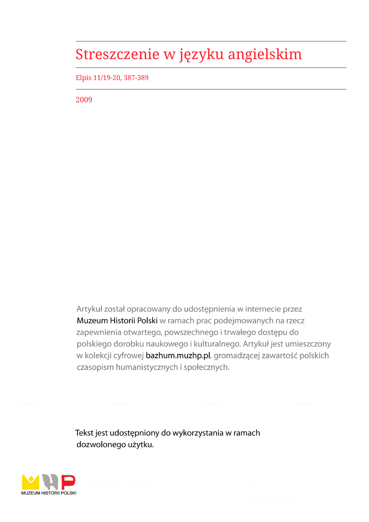## Streszczenie w języku angielskim

Elpis 11/19-20, 387-389

2009

Artykuł został opracowany do udostępnienia w internecie przez Muzeum Historii Polski w ramach prac podejmowanych na rzecz zapewnienia otwartego, powszechnego i trwałego dostępu do polskiego dorobku naukowego i kulturalnego. Artykuł jest umieszczony w kolekcji cyfrowej bazhum.muzhp.pl, gromadzącej zawartość polskich czasopism humanistycznych i społecznych.

Tekst jest udostępniony do wykorzystania w ramach dozwolonego użytku.

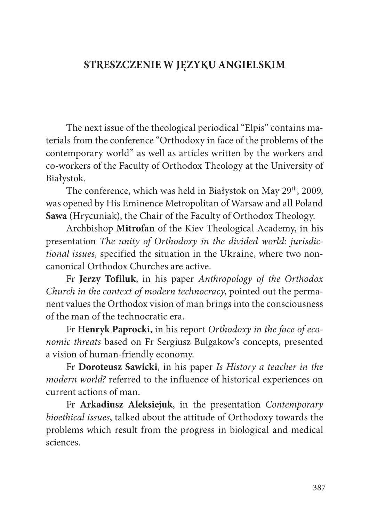## **Streszczenie w języku angielskim**

The next issue of the theological periodical "Elpis" contains materials from the conference "Orthodoxy in face of the problems of the contemporary world" as well as articles written by the workers and co-workers of the Faculty of Orthodox Theology at the University of Białystok.

The conference, which was held in Białystok on May 29<sup>th</sup>, 2009, was opened by His Eminence Metropolitan of Warsaw and all Poland **Sawa** (Hrycuniak), the Chair of the Faculty of Orthodox Theology.

Archbishop **Mitrofan** of the Kiev Theological Academy, in his presentation *The unity of Orthodoxy in the divided world: jurisdictional issues,* specified the situation in the Ukraine, where two noncanonical Orthodox Churches are active.

Fr **Jerzy Tofiluk**, in his paper *Anthropology of the Orthodox Church in the context of modern technocracy*, pointed out the permanent values the Orthodox vision of man brings into the consciousness of the man of the technocratic era.

Fr **Henryk Paprocki**, in his report *Orthodoxy in the face of economic threats* based on Fr Sergiusz Bulgakow's concepts, presented a vision of human-friendly economy.

Fr **Doroteusz Sawicki**, in his paper *Is History a teacher in the modern world?* referred to the influence of historical experiences on current actions of man.

Fr **Arkadiusz Aleksiejuk**, in the presentation *Contemporary bioethical issues*, talked about the attitude of Orthodoxy towards the problems which result from the progress in biological and medical sciences.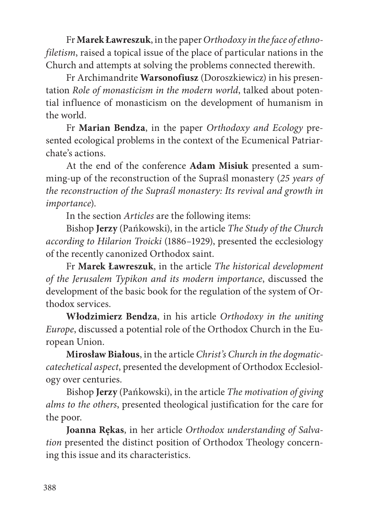Fr **Marek Ławreszuk**, in the paper *Orthodoxy in the face of ethnofiletism*, raised a topical issue of the place of particular nations in the Church and attempts at solving the problems connected therewith.

Fr Archimandrite **Warsonofiusz** (Doroszkiewicz) in his presentation *Role of monasticism in the modern world*, talked about potential influence of monasticism on the development of humanism in the world.

Fr **Marian Bendza**, in the paper *Orthodoxy and Ecology* presented ecological problems in the context of the Ecumenical Patriarchate's actions.

At the end of the conference **Adam Misiuk** presented a summing-up of the reconstruction of the Supraśl monastery (*25 years of the reconstruction of the Supraśl monastery: Its revival and growth in importance*).

In the section *Articles* are the following items:

Bishop **Jerzy** (Pańkowski), in the article *The Study of the Church according to Hilarion Troicki* (1886–1929), presented the ecclesiology of the recently canonized Orthodox saint.

Fr **Marek Ławreszuk**, in the article *The historical development of the Jerusalem Typikon and its modern importance*, discussed the development of the basic book for the regulation of the system of Orthodox services.

**Włodzimierz Bendza**, in his article *Orthodoxy in the uniting Europe*, discussed a potential role of the Orthodox Church in the European Union.

**Mirosław Białous**, in the article *Christ's Church in the dogmaticcatechetical aspect*, presented the development of Orthodox Ecclesiology over centuries.

Bishop **Jerzy** (Pańkowski), in the article *The motivation of giving alms to the others*, presented theological justification for the care for the poor.

**Joanna Rękas**, in her article *Orthodox understanding of Salvation* presented the distinct position of Orthodox Theology concerning this issue and its characteristics.